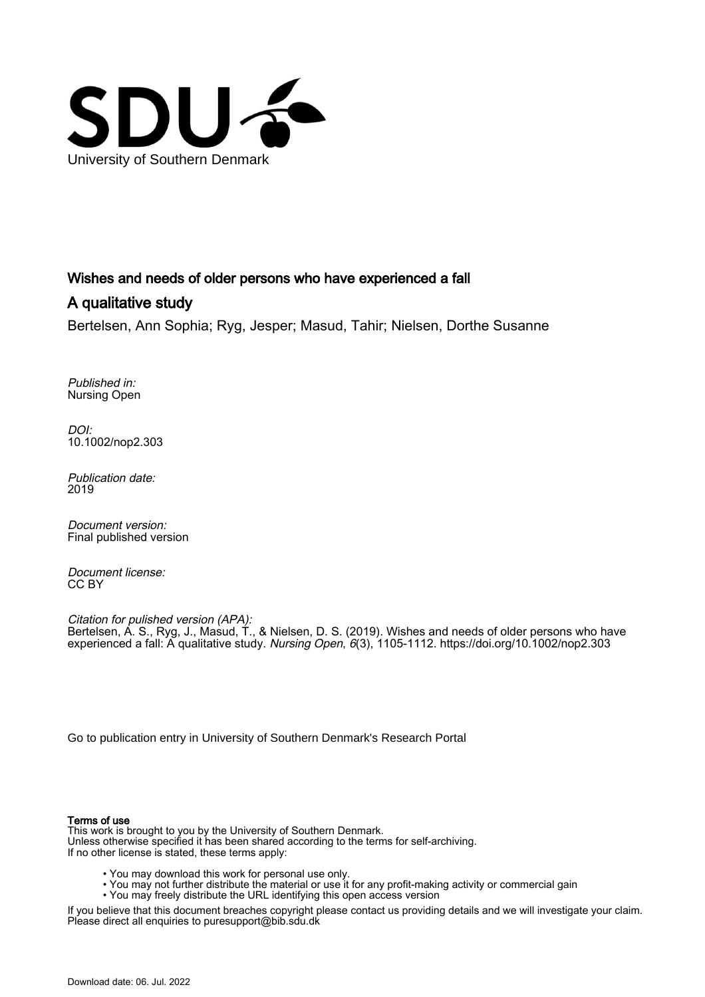

# Wishes and needs of older persons who have experienced a fall

# A qualitative study

Bertelsen, Ann Sophia; Ryg, Jesper; Masud, Tahir; Nielsen, Dorthe Susanne

Published in: Nursing Open

DOI: [10.1002/nop2.303](https://doi.org/10.1002/nop2.303)

Publication date: 2019

Document version: Final published version

Document license: CC BY

Citation for pulished version (APA): Bertelsen, A. S., Ryg, J., Masud, T., & Nielsen, D. S. (2019). Wishes and needs of older persons who have experienced a fall: A qualitative study. Nursing Open, 6(3), 1105-1112.<https://doi.org/10.1002/nop2.303>

[Go to publication entry in University of Southern Denmark's Research Portal](https://portal.findresearcher.sdu.dk/en/publications/3d7a7a91-d2be-4e3c-82ec-da40cff36ef0)

#### Terms of use

This work is brought to you by the University of Southern Denmark. Unless otherwise specified it has been shared according to the terms for self-archiving. If no other license is stated, these terms apply:

- You may download this work for personal use only.
- You may not further distribute the material or use it for any profit-making activity or commercial gain
- You may freely distribute the URL identifying this open access version

If you believe that this document breaches copyright please contact us providing details and we will investigate your claim. Please direct all enquiries to puresupport@bib.sdu.dk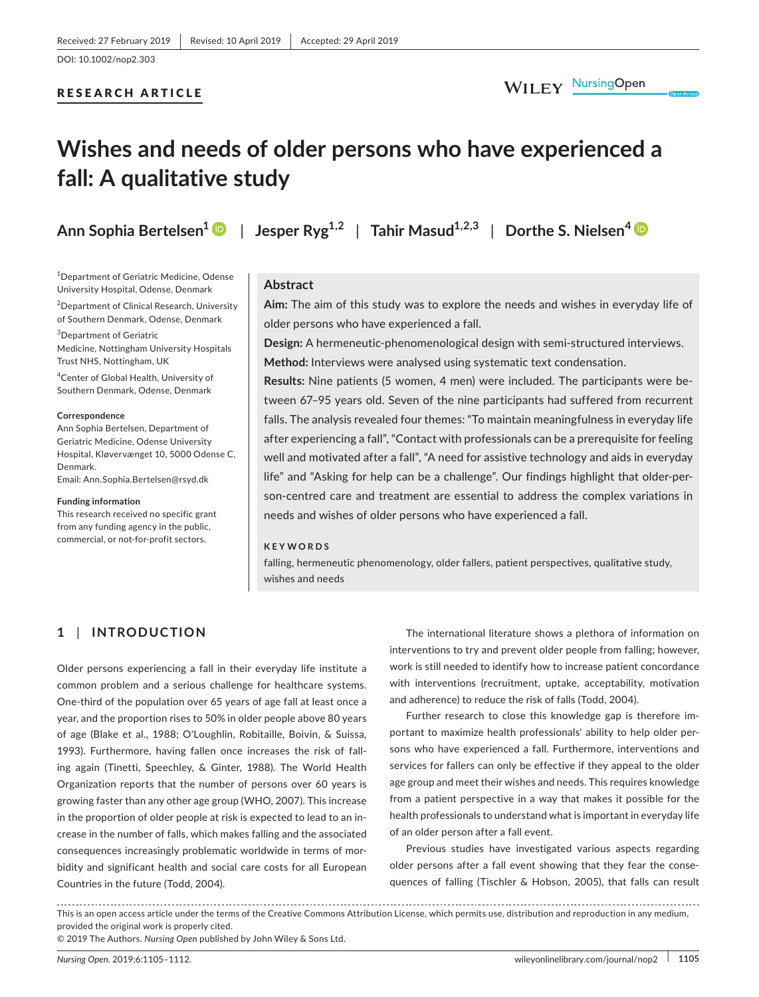## RESEARCH ARTICLE

# **Wishes and needs of older persons who have experienced a fall: A qualitative study**

1 Department of Geriatric Medicine, Odense University Hospital, Odense, Denmark

2 Department of Clinical Research, University of Southern Denmark, Odense, Denmark

3 Department of Geriatric Medicine, Nottingham University Hospitals Trust NHS, Nottingham, UK

4 Center of Global Health, University of Southern Denmark, Odense, Denmark

#### **Correspondence**

Ann Sophia Bertelsen, Department of Geriatric Medicine, Odense University Hospital, Kløvervænget 10, 5000 Odense C, Denmark. Email: [Ann.Sophia.Bertelsen@rsyd.dk](mailto:Ann.Sophia.Bertelsen@rsyd.dk)

#### **Funding information**

This research received no specific grant from any funding agency in the public, commercial, or not‐for‐profit sectors.

**Ann Sophia Bertelsen[1](https://orcid.org/0000-0003-3158-7898)** | **Jesper Ryg1,2** | **Tahir Masud1,2,3** | **Dorthe S. Nielsen[4](https://orcid.org/0000-0002-3954-7551)**

### **Abstract**

**Aim:** The aim of this study was to explore the needs and wishes in everyday life of older persons who have experienced a fall.

**Design:** A hermeneutic‐phenomenological design with semi‐structured interviews. **Method:** Interviews were analysed using systematic text condensation.

**Results:** Nine patients (5 women, 4 men) were included. The participants were be‐ tween 67–95 years old. Seven of the nine participants had suffered from recurrent falls. The analysis revealed four themes: "To maintain meaningfulness in everyday life after experiencing a fall", "Contact with professionals can be a prerequisite for feeling well and motivated after a fall", "A need for assistive technology and aids in everyday life" and "Asking for help can be a challenge". Our findings highlight that older‐per‐ son-centred care and treatment are essential to address the complex variations in needs and wishes of older persons who have experienced a fall.

#### **KEYWORDS**

falling, hermeneutic phenomenology, older fallers, patient perspectives, qualitative study, wishes and needs

# **1** | **INTRODUCTION**

Older persons experiencing a fall in their everyday life institute a common problem and a serious challenge for healthcare systems. One‐third of the population over 65 years of age fall at least once a year, and the proportion rises to 50% in older people above 80 years of age (Blake et al., 1988; O'Loughlin, Robitaille, Boivin, & Suissa, 1993). Furthermore, having fallen once increases the risk of fall‐ ing again (Tinetti, Speechley, & Ginter, 1988). The World Health Organization reports that the number of persons over 60 years is growing faster than any other age group (WHO, 2007). This increase in the proportion of older people at risk is expected to lead to an in‐ crease in the number of falls, which makes falling and the associated consequences increasingly problematic worldwide in terms of mor‐ bidity and significant health and social care costs for all European Countries in the future (Todd, 2004).

The international literature shows a plethora of information on interventions to try and prevent older people from falling; however, work is still needed to identify how to increase patient concordance with interventions (recruitment, uptake, acceptability, motivation and adherence) to reduce the risk of falls (Todd, 2004).

Further research to close this knowledge gap is therefore im‐ portant to maximize health professionals' ability to help older per‐ sons who have experienced a fall. Furthermore, interventions and services for fallers can only be effective if they appeal to the older age group and meet their wishes and needs. This requires knowledge from a patient perspective in a way that makes it possible for the health professionals to understand what is important in everyday life of an older person after a fall event.

Previous studies have investigated various aspects regarding older persons after a fall event showing that they fear the conse‐ quences of falling (Tischler & Hobson, 2005), that falls can result

This is an open access article under the terms of the Creative Commons [Attribution](http://creativecommons.org/licenses/by/4.0/) License, which permits use, distribution and reproduction in any medium, provided the original work is properly cited.

© 2019 The Authors. *Nursing Open* published by John Wiley & Sons Ltd.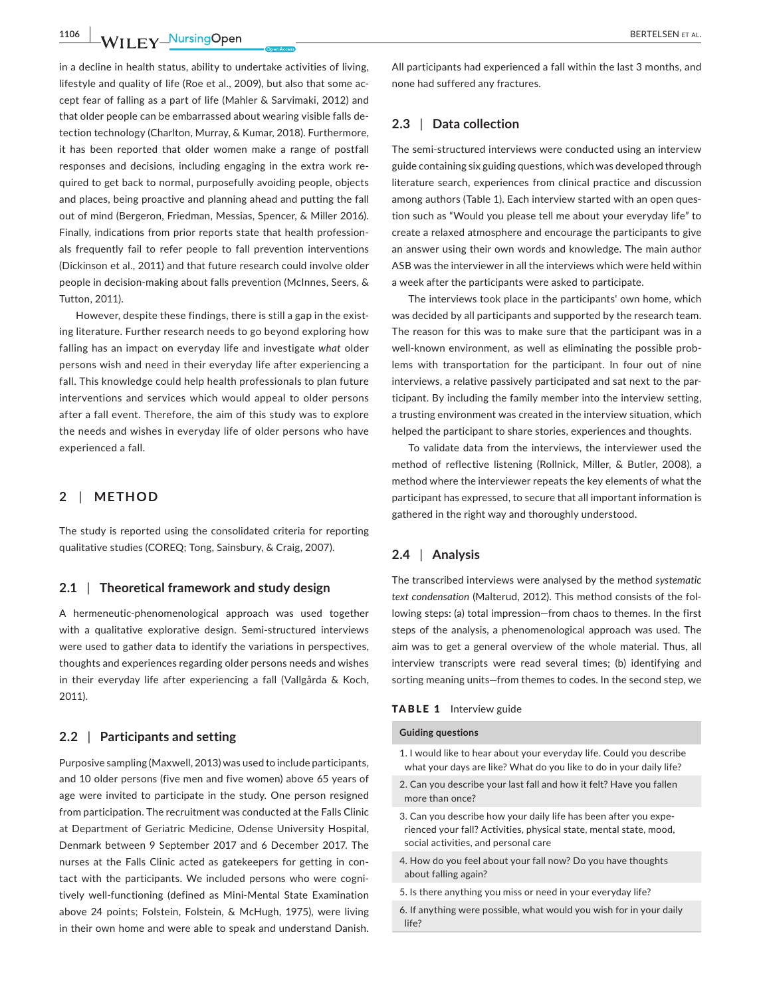**1106 WILEY NUISING OPEN BERTELSEN ET AL.** 

in a decline in health status, ability to undertake activities of living, lifestyle and quality of life (Roe et al., 2009), but also that some ac‐ cept fear of falling as a part of life (Mahler & Sarvimaki, 2012) and that older people can be embarrassed about wearing visible falls de‐ tection technology (Charlton, Murray, & Kumar, 2018). Furthermore, it has been reported that older women make a range of postfall responses and decisions, including engaging in the extra work re‐ quired to get back to normal, purposefully avoiding people, objects and places, being proactive and planning ahead and putting the fall out of mind (Bergeron, Friedman, Messias, Spencer, & Miller 2016). Finally, indications from prior reports state that health profession‐ als frequently fail to refer people to fall prevention interventions (Dickinson et al., 2011) and that future research could involve older people in decision‐making about falls prevention (McInnes, Seers, & Tutton, 2011).

However, despite these findings, there is still a gap in the existing literature. Further research needs to go beyond exploring how falling has an impact on everyday life and investigate *what* older persons wish and need in their everyday life after experiencing a fall. This knowledge could help health professionals to plan future interventions and services which would appeal to older persons after a fall event. Therefore, the aim of this study was to explore the needs and wishes in everyday life of older persons who have experienced a fall.

#### **2** | **METHOD**

The study is reported using the consolidated criteria for reporting qualitative studies (COREQ; Tong, Sainsbury, & Craig, 2007).

#### **2.1** | **Theoretical framework and study design**

A hermeneutic‐phenomenological approach was used together with a qualitative explorative design. Semi‐structured interviews were used to gather data to identify the variations in perspectives, thoughts and experiences regarding older persons needs and wishes in their everyday life after experiencing a fall (Vallgårda & Koch, 2011).

### **2.2** | **Participants and setting**

Purposive sampling (Maxwell, 2013) was used to include participants, and 10 older persons (five men and five women) above 65 years of age were invited to participate in the study. One person resigned from participation. The recruitment was conducted at the Falls Clinic at Department of Geriatric Medicine, Odense University Hospital, Denmark between 9 September 2017 and 6 December 2017. The nurses at the Falls Clinic acted as gatekeepers for getting in con‐ tact with the participants. We included persons who were cognitively well-functioning (defined as Mini-Mental State Examination above 24 points; Folstein, Folstein, & McHugh, 1975), were living in their own home and were able to speak and understand Danish.

All participants had experienced a fall within the last 3 months, and none had suffered any fractures.

#### **2.3** | **Data collection**

The semi-structured interviews were conducted using an interview guide containing six guiding questions, which was developed through literature search, experiences from clinical practice and discussion among authors (Table 1). Each interview started with an open question such as "Would you please tell me about your everyday life" to create a relaxed atmosphere and encourage the participants to give an answer using their own words and knowledge. The main author ASB was the interviewer in all the interviews which were held within a week after the participants were asked to participate.

The interviews took place in the participants' own home, which was decided by all participants and supported by the research team. The reason for this was to make sure that the participant was in a well-known environment, as well as eliminating the possible problems with transportation for the participant. In four out of nine interviews, a relative passively participated and sat next to the participant. By including the family member into the interview setting, a trusting environment was created in the interview situation, which helped the participant to share stories, experiences and thoughts.

To validate data from the interviews, the interviewer used the method of reflective listening (Rollnick, Miller, & Butler, 2008), a method where the interviewer repeats the key elements of what the participant has expressed, to secure that all important information is gathered in the right way and thoroughly understood.

## **2.4** | **Analysis**

The transcribed interviews were analysed by the method *systematic text condensation* (Malterud, 2012). This method consists of the fol‐ lowing steps: (a) total impression—from chaos to themes. In the first steps of the analysis, a phenomenological approach was used. The aim was to get a general overview of the whole material. Thus, all interview transcripts were read several times; (b) identifying and sorting meaning units—from themes to codes. In the second step, we

#### TABLE 1 Interview guide

#### **Guiding questions**

- 1. I would like to hear about your everyday life. Could you describe what your days are like? What do you like to do in your daily life?
- 2. Can you describe your last fall and how it felt? Have you fallen more than once?
- 3. Can you describe how your daily life has been after you expe‐ rienced your fall? Activities, physical state, mental state, mood, social activities, and personal care
- 4. How do you feel about your fall now? Do you have thoughts about falling again?
- 5. Is there anything you miss or need in your everyday life?
- 6. If anything were possible, what would you wish for in your daily life?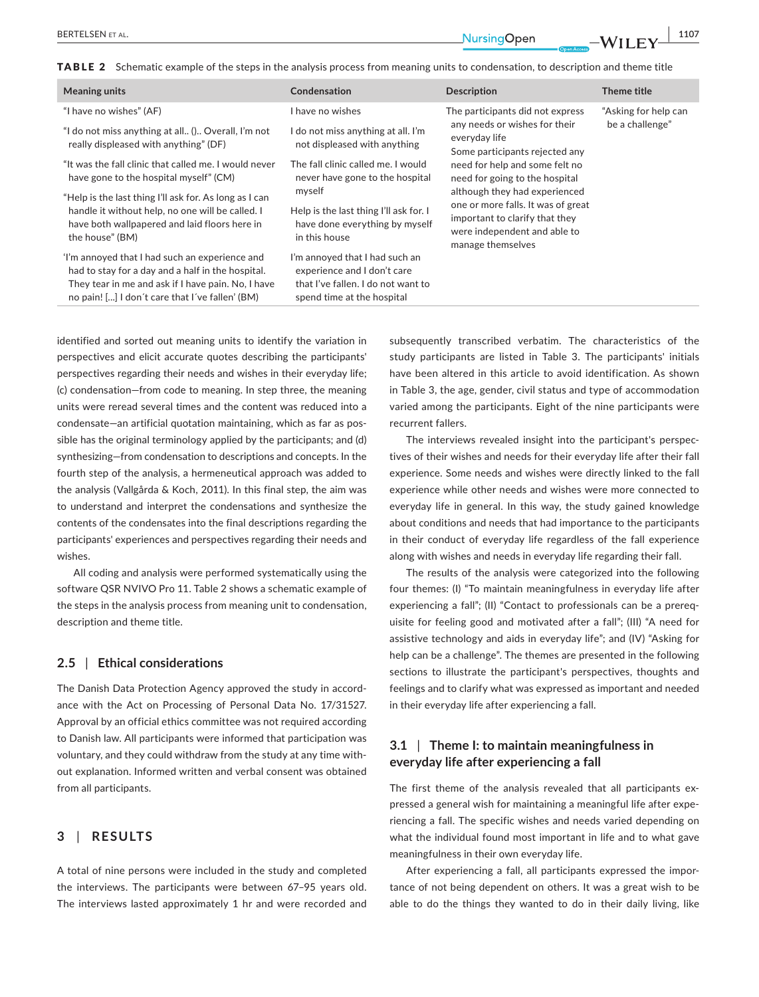TABLE 2 Schematic example of the steps in the analysis process from meaning units to condensation, to description and theme title

| <b>Meaning units</b>                                                                                                                                                                                         | Condensation                                                                                                                      | <b>Description</b>                                                                                                                                                                                                                                                                                                 | Theme title                             |
|--------------------------------------------------------------------------------------------------------------------------------------------------------------------------------------------------------------|-----------------------------------------------------------------------------------------------------------------------------------|--------------------------------------------------------------------------------------------------------------------------------------------------------------------------------------------------------------------------------------------------------------------------------------------------------------------|-----------------------------------------|
| "I have no wishes" (AF)                                                                                                                                                                                      | I have no wishes                                                                                                                  | The participants did not express                                                                                                                                                                                                                                                                                   | "Asking for help can<br>be a challenge" |
| "I do not miss anything at all () Overall, I'm not<br>really displeased with anything" (DF)                                                                                                                  | I do not miss anything at all. I'm<br>not displeased with anything                                                                | any needs or wishes for their<br>everyday life<br>Some participants rejected any<br>need for help and some felt no<br>need for going to the hospital<br>although they had experienced<br>one or more falls. It was of great<br>important to clarify that they<br>were independent and able to<br>manage themselves |                                         |
| "It was the fall clinic that called me. I would never<br>have gone to the hospital myself" (CM)                                                                                                              | The fall clinic called me. I would<br>never have gone to the hospital                                                             |                                                                                                                                                                                                                                                                                                                    |                                         |
| "Help is the last thing I'll ask for. As long as I can<br>handle it without help, no one will be called. I<br>have both wallpapered and laid floors here in<br>the house" (BM)                               | myself<br>Help is the last thing I'll ask for. I<br>have done everything by myself<br>in this house                               |                                                                                                                                                                                                                                                                                                                    |                                         |
| 'I'm annoyed that I had such an experience and<br>had to stay for a day and a half in the hospital.<br>They tear in me and ask if I have pain. No, I have<br>no pain! [] I don't care that I've fallen' (BM) | I'm annoyed that I had such an<br>experience and I don't care<br>that I've fallen. I do not want to<br>spend time at the hospital |                                                                                                                                                                                                                                                                                                                    |                                         |

identified and sorted out meaning units to identify the variation in perspectives and elicit accurate quotes describing the participants' perspectives regarding their needs and wishes in their everyday life; (c) condensation—from code to meaning. In step three, the meaning units were reread several times and the content was reduced into a condensate—an artificial quotation maintaining, which as far as pos‐ sible has the original terminology applied by the participants; and (d) synthesizing—from condensation to descriptions and concepts. In the fourth step of the analysis, a hermeneutical approach was added to the analysis (Vallgårda & Koch, 2011). In this final step, the aim was to understand and interpret the condensations and synthesize the contents of the condensates into the final descriptions regarding the participants' experiences and perspectives regarding their needs and wishes.

All coding and analysis were performed systematically using the software QSR NVIVO Pro 11. Table 2 shows a schematic example of the steps in the analysis process from meaning unit to condensation, description and theme title.

#### **2.5** | **Ethical considerations**

The Danish Data Protection Agency approved the study in accord‐ ance with the Act on Processing of Personal Data No. 17/31527. Approval by an official ethics committee was not required according to Danish law. All participants were informed that participation was voluntary, and they could withdraw from the study at any time with‐ out explanation. Informed written and verbal consent was obtained from all participants.

#### **3** | **RESULTS**

A total of nine persons were included in the study and completed the interviews. The participants were between 67–95 years old. The interviews lasted approximately 1 hr and were recorded and subsequently transcribed verbatim. The characteristics of the study participants are listed in Table 3. The participants' initials have been altered in this article to avoid identification. As shown in Table 3, the age, gender, civil status and type of accommodation varied among the participants. Eight of the nine participants were recurrent fallers.

The interviews revealed insight into the participant's perspec‐ tives of their wishes and needs for their everyday life after their fall experience. Some needs and wishes were directly linked to the fall experience while other needs and wishes were more connected to everyday life in general. In this way, the study gained knowledge about conditions and needs that had importance to the participants in their conduct of everyday life regardless of the fall experience along with wishes and needs in everyday life regarding their fall.

The results of the analysis were categorized into the following four themes: (I) "To maintain meaningfulness in everyday life after experiencing a fall"; (II) "Contact to professionals can be a prereq‐ uisite for feeling good and motivated after a fall"; (III) "A need for assistive technology and aids in everyday life"; and (IV) "Asking for help can be a challenge". The themes are presented in the following sections to illustrate the participant's perspectives, thoughts and feelings and to clarify what was expressed as important and needed in their everyday life after experiencing a fall.

## **3.1** | **Theme I: to maintain meaningfulness in everyday life after experiencing a fall**

The first theme of the analysis revealed that all participants expressed a general wish for maintaining a meaningful life after expe‐ riencing a fall. The specific wishes and needs varied depending on what the individual found most important in life and to what gave meaningfulness in their own everyday life.

After experiencing a fall, all participants expressed the impor‐ tance of not being dependent on others. It was a great wish to be able to do the things they wanted to do in their daily living, like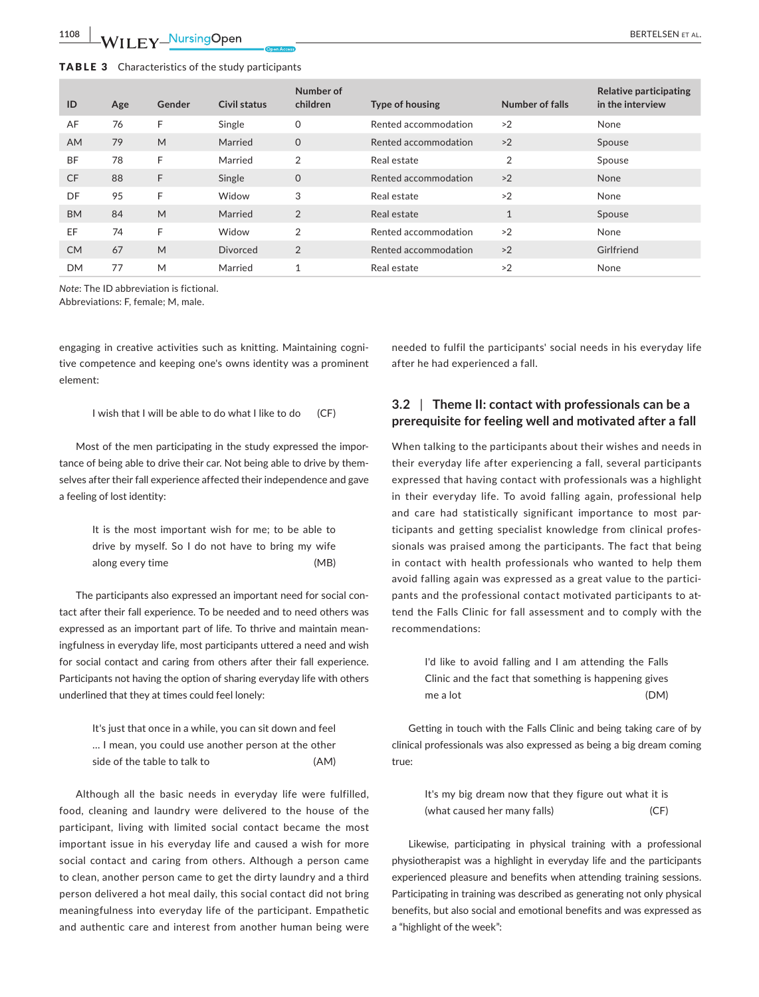| ID        | Age | Gender | Civil status | Number of<br>children | Type of housing      | Number of falls | Relative participating<br>in the interview |
|-----------|-----|--------|--------------|-----------------------|----------------------|-----------------|--------------------------------------------|
| AF        | 76  | F      | Single       | $\Omega$              | Rented accommodation | >2              | None                                       |
| <b>AM</b> | 79  | M      | Married      | $\mathbf 0$           | Rented accommodation | >2              | Spouse                                     |
| <b>BF</b> | 78  | F      | Married      | 2                     | Real estate          | $\overline{2}$  | Spouse                                     |
| <b>CF</b> | 88  | F      | Single       | $\mathbf{O}$          | Rented accommodation | >2              | <b>None</b>                                |
| DF        | 95  | F      | Widow        | 3                     | Real estate          | >2              | None                                       |
| <b>BM</b> | 84  | M      | Married      | 2                     | Real estate          | $\mathbf{1}$    | Spouse                                     |
| EF        | 74  | F      | Widow        | 2                     | Rented accommodation | >2              | None                                       |
| <b>CM</b> | 67  | M      | Divorced     | $\overline{2}$        | Rented accommodation | >2              | Girlfriend                                 |
| <b>DM</b> | 77  | M      | Married      |                       | Real estate          | >2              | None                                       |

*Note*: The ID abbreviation is fictional.

Abbreviations: F, female; M, male.

engaging in creative activities such as knitting. Maintaining cogni‐ tive competence and keeping one's owns identity was a prominent element:

I wish that I will be able to do what I like to do (CF)

Most of the men participating in the study expressed the impor‐ tance of being able to drive their car. Not being able to drive by them‐ selves after their fall experience affected their independence and gave a feeling of lost identity:

> It is the most important wish for me; to be able to drive by myself. So I do not have to bring my wife along every time (MB)

The participants also expressed an important need for social con‐ tact after their fall experience. To be needed and to need others was expressed as an important part of life. To thrive and maintain mean‐ ingfulness in everyday life, most participants uttered a need and wish for social contact and caring from others after their fall experience. Participants not having the option of sharing everyday life with others underlined that they at times could feel lonely:

| It's just that once in a while, you can sit down and feel |      |
|-----------------------------------------------------------|------|
| I mean, you could use another person at the other         |      |
| side of the table to talk to                              | (AM) |

Although all the basic needs in everyday life were fulfilled, food, cleaning and laundry were delivered to the house of the participant, living with limited social contact became the most important issue in his everyday life and caused a wish for more social contact and caring from others. Although a person came to clean, another person came to get the dirty laundry and a third person delivered a hot meal daily, this social contact did not bring meaningfulness into everyday life of the participant. Empathetic and authentic care and interest from another human being were

needed to fulfil the participants' social needs in his everyday life after he had experienced a fall.

# **3.2** | **Theme II: contact with professionals can be a prerequisite for feeling well and motivated after a fall**

When talking to the participants about their wishes and needs in their everyday life after experiencing a fall, several participants expressed that having contact with professionals was a highlight in their everyday life. To avoid falling again, professional help and care had statistically significant importance to most participants and getting specialist knowledge from clinical profes‐ sionals was praised among the participants. The fact that being in contact with health professionals who wanted to help them avoid falling again was expressed as a great value to the partici‐ pants and the professional contact motivated participants to at‐ tend the Falls Clinic for fall assessment and to comply with the recommendations:

| I'd like to avoid falling and I am attending the Falls |      |
|--------------------------------------------------------|------|
| Clinic and the fact that something is happening gives  |      |
| me a lot                                               | (DM) |

Getting in touch with the Falls Clinic and being taking care of by clinical professionals was also expressed as being a big dream coming true:

> It's my big dream now that they figure out what it is (what caused her many falls) (CF)

Likewise, participating in physical training with a professional physiotherapist was a highlight in everyday life and the participants experienced pleasure and benefits when attending training sessions. Participating in training was described as generating not only physical benefits, but also social and emotional benefits and was expressed as a "highlight of the week":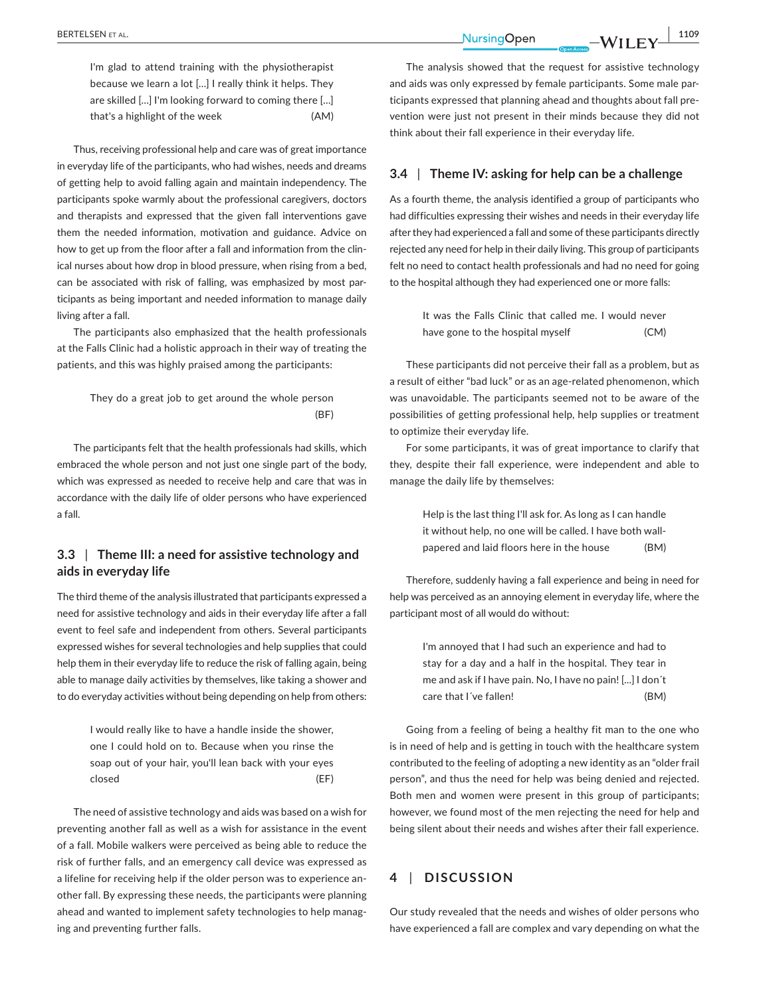I'm glad to attend training with the physiotherapist because we learn a lot […] I really think it helps. They are skilled […] I'm looking forward to coming there […] that's a highlight of the week (AM)

Thus, receiving professional help and care was of great importance in everyday life of the participants, who had wishes, needs and dreams of getting help to avoid falling again and maintain independency. The participants spoke warmly about the professional caregivers, doctors and therapists and expressed that the given fall interventions gave them the needed information, motivation and guidance. Advice on how to get up from the floor after a fall and information from the clinical nurses about how drop in blood pressure, when rising from a bed, can be associated with risk of falling, was emphasized by most par‐ ticipants as being important and needed information to manage daily living after a fall.

The participants also emphasized that the health professionals at the Falls Clinic had a holistic approach in their way of treating the patients, and this was highly praised among the participants:

## They do a great job to get around the whole person (BF)

The participants felt that the health professionals had skills, which embraced the whole person and not just one single part of the body, which was expressed as needed to receive help and care that was in accordance with the daily life of older persons who have experienced a fall.

## **3.3** | **Theme III: a need for assistive technology and aids in everyday life**

The third theme of the analysis illustrated that participants expressed a need for assistive technology and aids in their everyday life after a fall event to feel safe and independent from others. Several participants expressed wishes for several technologies and help supplies that could help them in their everyday life to reduce the risk of falling again, being able to manage daily activities by themselves, like taking a shower and to do everyday activities without being depending on help from others:

> I would really like to have a handle inside the shower, one I could hold on to. Because when you rinse the soap out of your hair, you'll lean back with your eyes closed (EF)

The need of assistive technology and aids was based on a wish for preventing another fall as well as a wish for assistance in the event of a fall. Mobile walkers were perceived as being able to reduce the risk of further falls, and an emergency call device was expressed as a lifeline for receiving help if the older person was to experience an‐ other fall. By expressing these needs, the participants were planning ahead and wanted to implement safety technologies to help manag‐ ing and preventing further falls.

The analysis showed that the request for assistive technology and aids was only expressed by female participants. Some male par‐ ticipants expressed that planning ahead and thoughts about fall pre‐ vention were just not present in their minds because they did not think about their fall experience in their everyday life.

## **3.4** | **Theme IV: asking for help can be a challenge**

As a fourth theme, the analysis identified a group of participants who had difficulties expressing their wishes and needs in their everyday life after they had experienced a fall and some of these participants directly rejected any need for help in their daily living. This group of participants felt no need to contact health professionals and had no need for going to the hospital although they had experienced one or more falls:

> It was the Falls Clinic that called me. I would never have gone to the hospital myself (CM)

These participants did not perceive their fall as a problem, but as a result of either "bad luck" or as an age-related phenomenon, which was unavoidable. The participants seemed not to be aware of the possibilities of getting professional help, help supplies or treatment to optimize their everyday life.

For some participants, it was of great importance to clarify that they, despite their fall experience, were independent and able to manage the daily life by themselves:

> Help is the last thing I'll ask for. As long as I can handle it without help, no one will be called. I have both wall‐ papered and laid floors here in the house (BM)

Therefore, suddenly having a fall experience and being in need for help was perceived as an annoying element in everyday life, where the participant most of all would do without:

> I'm annoyed that I had such an experience and had to stay for a day and a half in the hospital. They tear in me and ask if I have pain. No, I have no pain! [...] I don´t care that I´ve fallen! (BM)

Going from a feeling of being a healthy fit man to the one who is in need of help and is getting in touch with the healthcare system contributed to the feeling of adopting a new identity as an "older frail person", and thus the need for help was being denied and rejected. Both men and women were present in this group of participants; however, we found most of the men rejecting the need for help and being silent about their needs and wishes after their fall experience.

## **4** | **DISCUSSION**

Our study revealed that the needs and wishes of older persons who have experienced a fall are complex and vary depending on what the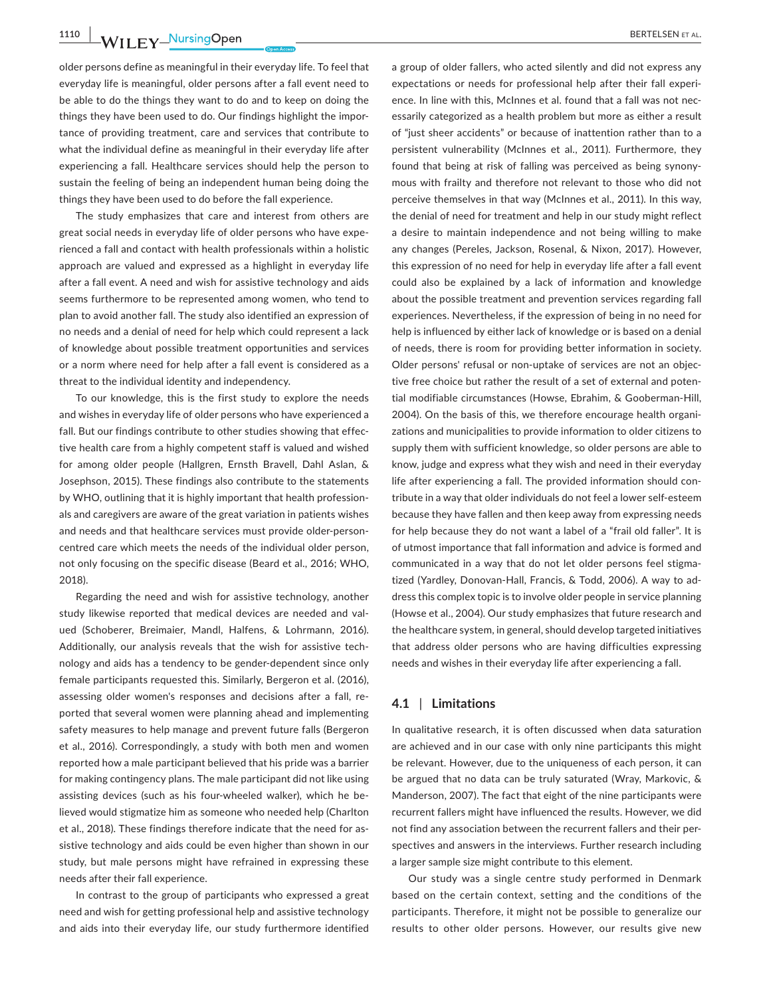**1110 WILEY NUISING OPEN BERTELSEN** ET AL.

older persons define as meaningful in their everyday life. To feel that everyday life is meaningful, older persons after a fall event need to be able to do the things they want to do and to keep on doing the things they have been used to do. Our findings highlight the impor‐ tance of providing treatment, care and services that contribute to what the individual define as meaningful in their everyday life after experiencing a fall. Healthcare services should help the person to sustain the feeling of being an independent human being doing the things they have been used to do before the fall experience.

The study emphasizes that care and interest from others are great social needs in everyday life of older persons who have expe‐ rienced a fall and contact with health professionals within a holistic approach are valued and expressed as a highlight in everyday life after a fall event. A need and wish for assistive technology and aids seems furthermore to be represented among women, who tend to plan to avoid another fall. The study also identified an expression of no needs and a denial of need for help which could represent a lack of knowledge about possible treatment opportunities and services or a norm where need for help after a fall event is considered as a threat to the individual identity and independency.

To our knowledge, this is the first study to explore the needs and wishes in everyday life of older persons who have experienced a fall. But our findings contribute to other studies showing that effec‐ tive health care from a highly competent staff is valued and wished for among older people (Hallgren, Ernsth Bravell, Dahl Aslan, & Josephson, 2015). These findings also contribute to the statements by WHO, outlining that it is highly important that health profession‐ als and caregivers are aware of the great variation in patients wishes and needs and that healthcare services must provide older-personcentred care which meets the needs of the individual older person, not only focusing on the specific disease (Beard et al., 2016; WHO, 2018).

Regarding the need and wish for assistive technology, another study likewise reported that medical devices are needed and val‐ ued (Schoberer, Breimaier, Mandl, Halfens, & Lohrmann, 2016). Additionally, our analysis reveals that the wish for assistive tech‐ nology and aids has a tendency to be gender‐dependent since only female participants requested this. Similarly, Bergeron et al. (2016), assessing older women's responses and decisions after a fall, re‐ ported that several women were planning ahead and implementing safety measures to help manage and prevent future falls (Bergeron et al., 2016). Correspondingly, a study with both men and women reported how a male participant believed that his pride was a barrier for making contingency plans. The male participant did not like using assisting devices (such as his four‐wheeled walker), which he be‐ lieved would stigmatize him as someone who needed help (Charlton et al., 2018). These findings therefore indicate that the need for as‐ sistive technology and aids could be even higher than shown in our study, but male persons might have refrained in expressing these needs after their fall experience.

In contrast to the group of participants who expressed a great need and wish for getting professional help and assistive technology and aids into their everyday life, our study furthermore identified

a group of older fallers, who acted silently and did not express any expectations or needs for professional help after their fall experi‐ ence. In line with this, McInnes et al. found that a fall was not necessarily categorized as a health problem but more as either a result of "just sheer accidents" or because of inattention rather than to a persistent vulnerability (McInnes et al., 2011). Furthermore, they found that being at risk of falling was perceived as being synony‐ mous with frailty and therefore not relevant to those who did not perceive themselves in that way (McInnes et al., 2011). In this way, the denial of need for treatment and help in our study might reflect a desire to maintain independence and not being willing to make any changes (Pereles, Jackson, Rosenal, & Nixon, 2017). However, this expression of no need for help in everyday life after a fall event could also be explained by a lack of information and knowledge about the possible treatment and prevention services regarding fall experiences. Nevertheless, if the expression of being in no need for help is influenced by either lack of knowledge or is based on a denial of needs, there is room for providing better information in society. Older persons' refusal or non‐uptake of services are not an objec‐ tive free choice but rather the result of a set of external and poten‐ tial modifiable circumstances (Howse, Ebrahim, & Gooberman‐Hill, 2004). On the basis of this, we therefore encourage health organi‐ zations and municipalities to provide information to older citizens to supply them with sufficient knowledge, so older persons are able to know, judge and express what they wish and need in their everyday life after experiencing a fall. The provided information should contribute in a way that older individuals do not feel a lower self‐esteem because they have fallen and then keep away from expressing needs for help because they do not want a label of a "frail old faller". It is of utmost importance that fall information and advice is formed and communicated in a way that do not let older persons feel stigma‐ tized (Yardley, Donovan‐Hall, Francis, & Todd, 2006). A way to ad‐ dress this complex topic is to involve older people in service planning (Howse et al., 2004). Our study emphasizes that future research and the healthcare system, in general, should develop targeted initiatives that address older persons who are having difficulties expressing needs and wishes in their everyday life after experiencing a fall.

#### **4.1** | **Limitations**

In qualitative research, it is often discussed when data saturation are achieved and in our case with only nine participants this might be relevant. However, due to the uniqueness of each person, it can be argued that no data can be truly saturated (Wray, Markovic, & Manderson, 2007). The fact that eight of the nine participants were recurrent fallers might have influenced the results. However, we did not find any association between the recurrent fallers and their per‐ spectives and answers in the interviews. Further research including a larger sample size might contribute to this element.

Our study was a single centre study performed in Denmark based on the certain context, setting and the conditions of the participants. Therefore, it might not be possible to generalize our results to other older persons. However, our results give new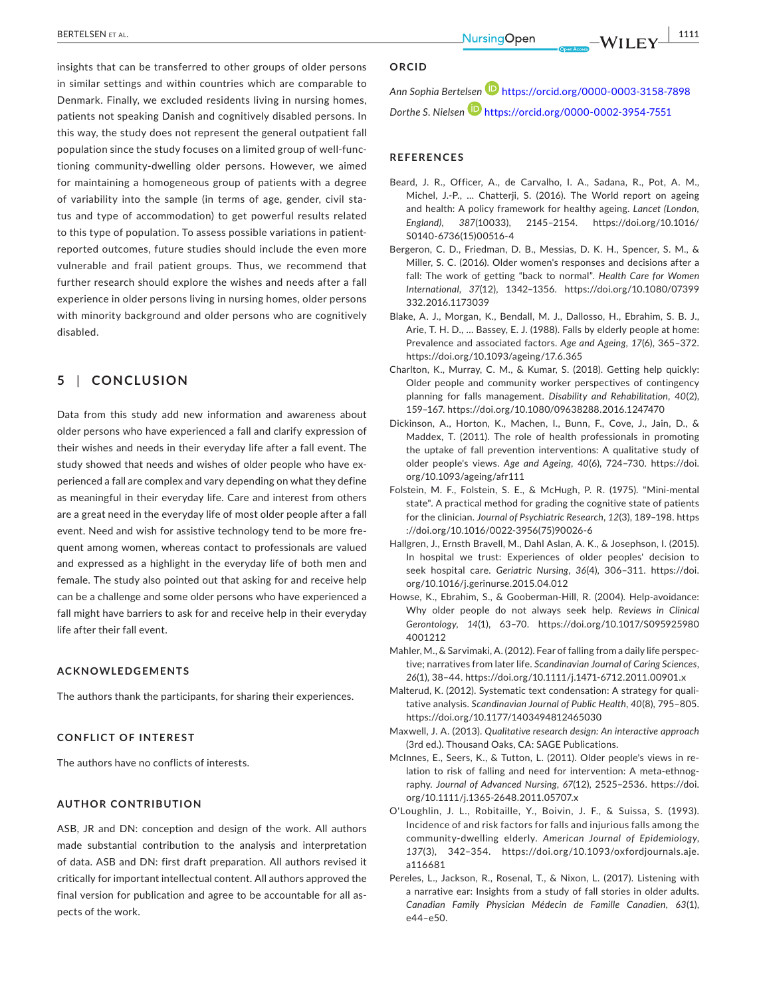insights that can be transferred to other groups of older persons in similar settings and within countries which are comparable to Denmark. Finally, we excluded residents living in nursing homes, patients not speaking Danish and cognitively disabled persons. In this way, the study does not represent the general outpatient fall population since the study focuses on a limited group of well‐func‐ tioning community‐dwelling older persons. However, we aimed for maintaining a homogeneous group of patients with a degree of variability into the sample (in terms of age, gender, civil sta‐ tus and type of accommodation) to get powerful results related to this type of population. To assess possible variations in patient‐ reported outcomes, future studies should include the even more vulnerable and frail patient groups. Thus, we recommend that further research should explore the wishes and needs after a fall experience in older persons living in nursing homes, older persons with minority background and older persons who are cognitively disabled.

## **5** | **CONCLUSION**

Data from this study add new information and awareness about older persons who have experienced a fall and clarify expression of their wishes and needs in their everyday life after a fall event. The study showed that needs and wishes of older people who have experienced a fall are complex and vary depending on what they define as meaningful in their everyday life. Care and interest from others are a great need in the everyday life of most older people after a fall event. Need and wish for assistive technology tend to be more fre‐ quent among women, whereas contact to professionals are valued and expressed as a highlight in the everyday life of both men and female. The study also pointed out that asking for and receive help can be a challenge and some older persons who have experienced a fall might have barriers to ask for and receive help in their everyday life after their fall event.

#### **ACKNOWLEDGEMENTS**

The authors thank the participants, for sharing their experiences.

#### **CONFLICT OF INTEREST**

The authors have no conflicts of interests.

#### **AUTHOR CONTRIBUTION**

ASB, JR and DN: conception and design of the work. All authors made substantial contribution to the analysis and interpretation of data. ASB and DN: first draft preparation. All authors revised it critically for important intellectual content. All authors approved the final version for publication and agree to be accountable for all as‐ pects of the work.

#### **ORCID**

*Ann Sophia Bertelse[n](https://orcid.org/0000-0003-3158-7898)* <https://orcid.org/0000-0003-3158-7898> *Dorthe S. Nielsen* <https://orcid.org/0000-0002-3954-7551>

#### **REFERENCES**

- Beard, J. R., Officer, A., de Carvalho, I. A., Sadana, R., Pot, A. M., Michel, J.‐P., … Chatterji, S. (2016). The World report on ageing and health: A policy framework for healthy ageing. *Lancet (London, England)*, *387*(10033), 2145–2154. [https://doi.org/10.1016/](https://doi.org/10.1016/S0140-6736(15)00516-4) [S0140-6736\(15\)00516-4](https://doi.org/10.1016/S0140-6736(15)00516-4)
- Bergeron, C. D., Friedman, D. B., Messias, D. K. H., Spencer, S. M., & Miller, S. C. (2016). Older women's responses and decisions after a fall: The work of getting "back to normal". *Health Care for Women International*, *37*(12), 1342–1356. [https://doi.org/10.1080/07399](https://doi.org/10.1080/07399332.2016.1173039) [332.2016.1173039](https://doi.org/10.1080/07399332.2016.1173039)
- Blake, A. J., Morgan, K., Bendall, M. J., Dallosso, H., Ebrahim, S. B. J., Arie, T. H. D., … Bassey, E. J. (1988). Falls by elderly people at home: Prevalence and associated factors. *Age and Ageing*, *17*(6), 365–372. <https://doi.org/10.1093/ageing/17.6.365>
- Charlton, K., Murray, C. M., & Kumar, S. (2018). Getting help quickly: Older people and community worker perspectives of contingency planning for falls management. *Disability and Rehabilitation*, *40*(2), 159–167.<https://doi.org/10.1080/09638288.2016.1247470>
- Dickinson, A., Horton, K., Machen, I., Bunn, F., Cove, J., Jain, D., & Maddex, T. (2011). The role of health professionals in promoting the uptake of fall prevention interventions: A qualitative study of older people's views. *Age and Ageing*, *40*(6), 724–730. [https://doi.](https://doi.org/10.1093/ageing/afr111) [org/10.1093/ageing/afr111](https://doi.org/10.1093/ageing/afr111)
- Folstein, M. F., Folstein, S. E., & McHugh, P. R. (1975). "Mini‐mental state". A practical method for grading the cognitive state of patients for the clinician. *Journal of Psychiatric Research*, *12*(3), 189–198. [https](https://doi.org/10.1016/0022-3956(75)90026-6) [://doi.org/10.1016/0022-3956\(75\)90026-6](https://doi.org/10.1016/0022-3956(75)90026-6)
- Hallgren, J., Ernsth Bravell, M., Dahl Aslan, A. K., & Josephson, I. (2015). In hospital we trust: Experiences of older peoples' decision to seek hospital care. *Geriatric Nursing*, *36*(4), 306–311. [https://doi.](https://doi.org/10.1016/j.gerinurse.2015.04.012) [org/10.1016/j.gerinurse.2015.04.012](https://doi.org/10.1016/j.gerinurse.2015.04.012)
- Howse, K., Ebrahim, S., & Gooberman‐Hill, R. (2004). Help‐avoidance: Why older people do not always seek help. *Reviews in Clinical Gerontology*, *14*(1), 63–70. [https://doi.org/10.1017/S095925980](https://doi.org/10.1017/S0959259804001212) [4001212](https://doi.org/10.1017/S0959259804001212)
- Mahler, M., & Sarvimaki, A. (2012). Fear of falling from a daily life perspec‐ tive; narratives from later life. *Scandinavian Journal of Caring Sciences*, *26*(1), 38–44.<https://doi.org/10.1111/j.1471-6712.2011.00901.x>
- Malterud, K. (2012). Systematic text condensation: A strategy for quali‐ tative analysis. *Scandinavian Journal of Public Health*, *40*(8), 795–805. <https://doi.org/10.1177/1403494812465030>
- Maxwell, J. A. (2013). *Qualitative research design: An interactive approach* (3rd ed.). Thousand Oaks, CA: SAGE Publications.
- McInnes, E., Seers, K., & Tutton, L. (2011). Older people's views in re‐ lation to risk of falling and need for intervention: A meta‐ethnog‐ raphy. *Journal of Advanced Nursing*, *67*(12), 2525–2536. [https://doi.](https://doi.org/10.1111/j.1365-2648.2011.05707.x) [org/10.1111/j.1365-2648.2011.05707.x](https://doi.org/10.1111/j.1365-2648.2011.05707.x)
- O'Loughlin, J. L., Robitaille, Y., Boivin, J. F., & Suissa, S. (1993). Incidence of and risk factors for falls and injurious falls among the community‐dwelling elderly. *American Journal of Epidemiology*, *137*(3), 342–354. [https://doi.org/10.1093/oxfordjournals.aje.](https://doi.org/10.1093/oxfordjournals.aje.a116681) [a116681](https://doi.org/10.1093/oxfordjournals.aje.a116681)
- Pereles, L., Jackson, R., Rosenal, T., & Nixon, L. (2017). Listening with a narrative ear: Insights from a study of fall stories in older adults. *Canadian Family Physician Médecin de Famille Canadien*, *63*(1),  $644 - 650$